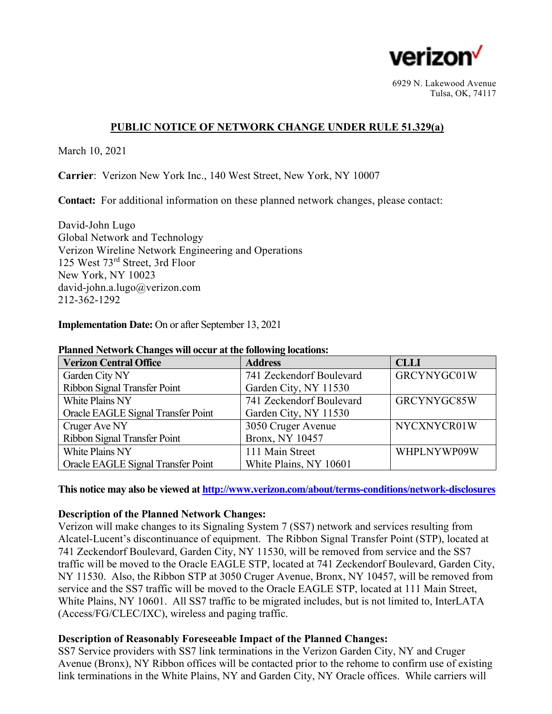

6929 N. Lakewood Avenue Tulsa, OK, 74117

# **PUBLIC NOTICE OF NETWORK CHANGE UNDER RULE 51.329(a)**

March 10, 2021

**Carrier**: Verizon New York Inc., 140 West Street, New York, NY 10007

**Contact:** For additional information on these planned network changes, please contact:

David-John Lugo Global Network and Technology Verizon Wireline Network Engineering and Operations 125 West 73rd Street, 3rd Floor New York, NY 10023 david-john.a.lugo@verizon.com 212-362-1292

### **Implementation Date:** On or after September 13, 2021

| <b>Verizon Central Office</b>      | <b>Address</b>           | <b>CLLI</b> |
|------------------------------------|--------------------------|-------------|
| Garden City NY                     | 741 Zeckendorf Boulevard | GRCYNYGC01W |
| Ribbon Signal Transfer Point       | Garden City, NY 11530    |             |
| White Plains NY                    | 741 Zeckendorf Boulevard | GRCYNYGC85W |
| Oracle EAGLE Signal Transfer Point | Garden City, NY 11530    |             |
| Cruger Ave NY                      | 3050 Cruger Avenue       | NYCXNYCR01W |
| Ribbon Signal Transfer Point       | Bronx, NY 10457          |             |
| White Plains NY                    | 111 Main Street          | WHPLNYWP09W |
| Oracle EAGLE Signal Transfer Point | White Plains, NY 10601   |             |

#### **Planned Network Changes will occur at the following locations:**

**This notice may also be viewed at http://www.verizon.com/about/terms-conditions/network-disclosures**

## **Description of the Planned Network Changes:**

Verizon will make changes to its Signaling System 7 (SS7) network and services resulting from Alcatel-Lucent's discontinuance of equipment. The Ribbon Signal Transfer Point (STP), located at 741 Zeckendorf Boulevard, Garden City, NY 11530, will be removed from service and the SS7 traffic will be moved to the Oracle EAGLE STP, located at 741 Zeckendorf Boulevard, Garden City, NY 11530. Also, the Ribbon STP at 3050 Cruger Avenue, Bronx, NY 10457, will be removed from service and the SS7 traffic will be moved to the Oracle EAGLE STP, located at 111 Main Street, White Plains, NY 10601. All SS7 traffic to be migrated includes, but is not limited to, InterLATA (Access/FG/CLEC/IXC), wireless and paging traffic.

## **Description of Reasonably Foreseeable Impact of the Planned Changes:**

SS7 Service providers with SS7 link terminations in the Verizon Garden City, NY and Cruger Avenue (Bronx), NY Ribbon offices will be contacted prior to the rehome to confirm use of existing link terminations in the White Plains, NY and Garden City, NY Oracle offices. While carriers will